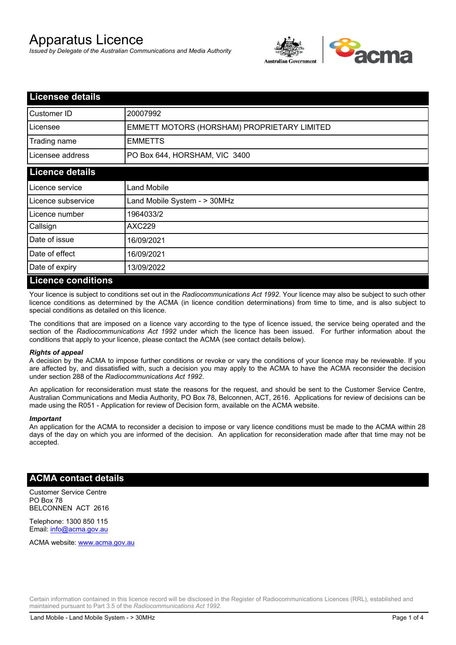# Apparatus Licence

*Issued by Delegate of the Australian Communications and Media Authority*



| <b>Licensee details</b> |                                             |  |  |
|-------------------------|---------------------------------------------|--|--|
| Customer ID             | 20007992                                    |  |  |
| Licensee                | EMMETT MOTORS (HORSHAM) PROPRIETARY LIMITED |  |  |
| Trading name            | <b>EMMETTS</b>                              |  |  |
| Licensee address        | PO Box 644, HORSHAM, VIC 3400               |  |  |
| <b>Licence details</b>  |                                             |  |  |
| Licence service         | Land Mobile                                 |  |  |
| Licence subservice      | Land Mobile System - > 30MHz                |  |  |
| Licence number          | 1964033/2                                   |  |  |
| Callsign                | AXC229                                      |  |  |
| Date of issue           | 16/09/2021                                  |  |  |
| Date of effect          | 16/09/2021                                  |  |  |
| Date of expiry          | 13/09/2022                                  |  |  |
| Licance conditions      |                                             |  |  |

#### **Licence conditions**

Your licence is subject to conditions set out in the *Radiocommunications Act 1992*. Your licence may also be subject to such other licence conditions as determined by the ACMA (in licence condition determinations) from time to time, and is also subject to special conditions as detailed on this licence.

The conditions that are imposed on a licence vary according to the type of licence issued, the service being operated and the section of the *Radiocommunications Act 1992* under which the licence has been issued. For further information about the conditions that apply to your licence, please contact the ACMA (see contact details below).

#### *Rights of appeal*

A decision by the ACMA to impose further conditions or revoke or vary the conditions of your licence may be reviewable. If you are affected by, and dissatisfied with, such a decision you may apply to the ACMA to have the ACMA reconsider the decision under section 288 of the *Radiocommunications Act 1992*.

An application for reconsideration must state the reasons for the request, and should be sent to the Customer Service Centre, Australian Communications and Media Authority, PO Box 78, Belconnen, ACT, 2616. Applications for review of decisions can be made using the R051 - Application for review of Decision form, available on the ACMA website.

#### *Important*

An application for the ACMA to reconsider a decision to impose or vary licence conditions must be made to the ACMA within 28 days of the day on which you are informed of the decision. An application for reconsideration made after that time may not be accepted.

#### **ACMA contact details**

Customer Service Centre PO Box 78 BELCONNEN ACT 2616

Telephone: 1300 850 115 Email: info@acma.gov.au

ACMA website: www.acma.gov.au

Certain information contained in this licence record will be disclosed in the Register of Radiocommunications Licences (RRL), established and maintained pursuant to Part 3.5 of the *Radiocommunications Act 1992.*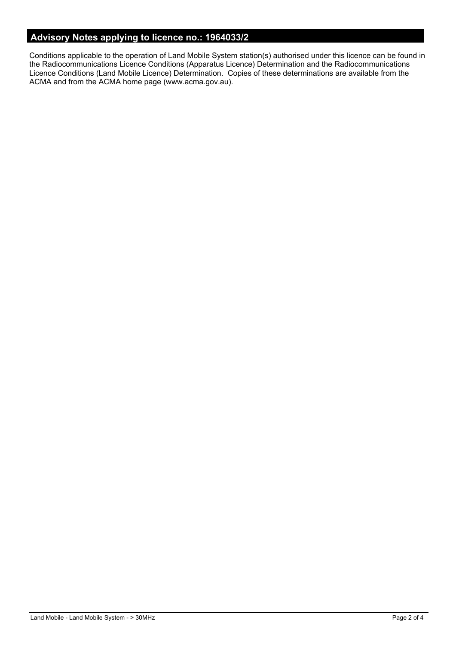# **Advisory Notes applying to licence no.: 1964033/2**

Conditions applicable to the operation of Land Mobile System station(s) authorised under this licence can be found in the Radiocommunications Licence Conditions (Apparatus Licence) Determination and the Radiocommunications Licence Conditions (Land Mobile Licence) Determination. Copies of these determinations are available from the ACMA and from the ACMA home page (www.acma.gov.au).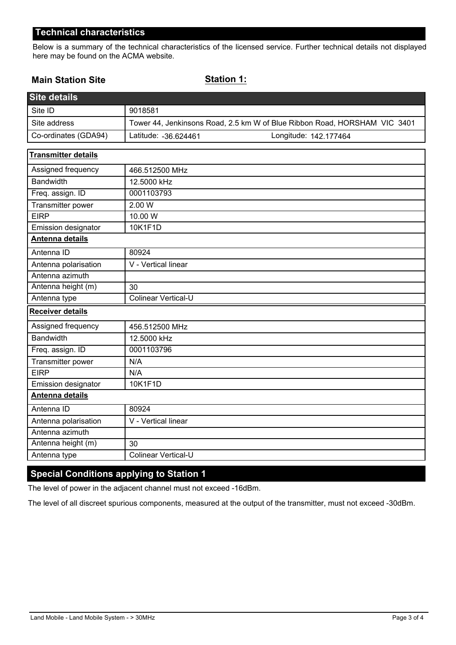## **Technical characteristics**

Below is a summary of the technical characteristics of the licensed service. Further technical details not displayed here may be found on the ACMA website.

## **Main Station Site**

### **Station 1:**

| <b>Site details</b>        |                                                                           |  |  |
|----------------------------|---------------------------------------------------------------------------|--|--|
| Site ID                    | 9018581                                                                   |  |  |
| Site address               | Tower 44, Jenkinsons Road, 2.5 km W of Blue Ribbon Road, HORSHAM VIC 3401 |  |  |
| Co-ordinates (GDA94)       | Latitude: - 36.624461<br>Longitude: 142.177464                            |  |  |
| <b>Transmitter details</b> |                                                                           |  |  |
| Assigned frequency         | 466.512500 MHz                                                            |  |  |
| Bandwidth                  | 12.5000 kHz                                                               |  |  |
| Freq. assign. ID           | 0001103793                                                                |  |  |
| Transmitter power          | 2.00 W                                                                    |  |  |
| <b>EIRP</b>                | 10.00 W                                                                   |  |  |
| Emission designator        | 10K1F1D                                                                   |  |  |
| Antenna details            |                                                                           |  |  |
| Antenna ID                 | 80924                                                                     |  |  |
| Antenna polarisation       | V - Vertical linear                                                       |  |  |
| Antenna azimuth            |                                                                           |  |  |
| Antenna height (m)         | 30                                                                        |  |  |
| Antenna type               | Colinear Vertical-U                                                       |  |  |
| <b>Receiver details</b>    |                                                                           |  |  |
| Assigned frequency         | 456.512500 MHz                                                            |  |  |
| <b>Bandwidth</b>           | 12.5000 kHz                                                               |  |  |
| Freq. assign. ID           | 0001103796                                                                |  |  |
| Transmitter power          | N/A                                                                       |  |  |
| <b>EIRP</b>                | N/A                                                                       |  |  |
| Emission designator        | 10K1F1D                                                                   |  |  |
| <b>Antenna details</b>     |                                                                           |  |  |
| Antenna ID                 | 80924                                                                     |  |  |
| Antenna polarisation       | V - Vertical linear                                                       |  |  |
| Antenna azimuth            |                                                                           |  |  |
| Antenna height (m)         | 30                                                                        |  |  |
| Antenna type               | <b>Colinear Vertical-U</b>                                                |  |  |

# **Special Conditions applying to Station 1**

The level of power in the adjacent channel must not exceed -16dBm.

The level of all discreet spurious components, measured at the output of the transmitter, must not exceed -30dBm.